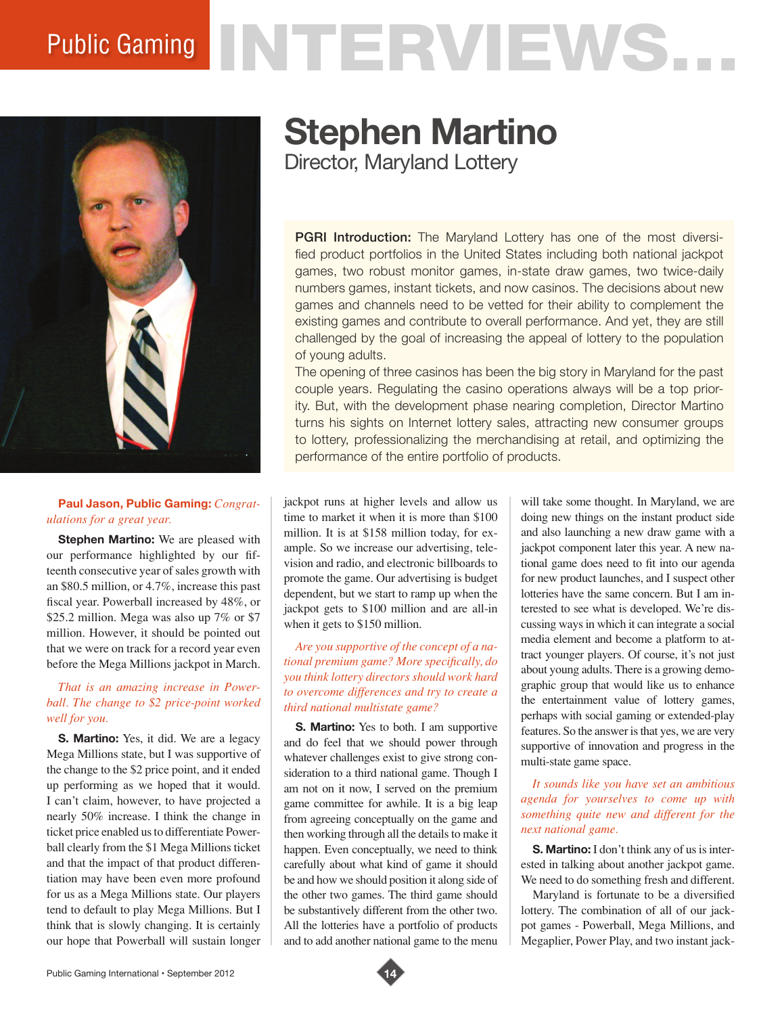# Public Gaming NTERVIEWS.



#### **Paul Jason, Public Gaming:** *Congratulations for a great year.*

**Stephen Martino:** We are pleased with our performance highlighted by our fifteenth consecutive year of sales growth with an \$80.5 million, or 4.7%, increase this past fiscal year. Powerball increased by 48%, or \$25.2 million. Mega was also up 7% or \$7 million. However, it should be pointed out that we were on track for a record year even before the Mega Millions jackpot in March.

## *That is an amazing increase in Powerball. The change to \$2 price-point worked well for you.*

**S. Martino:** Yes, it did. We are a legacy Mega Millions state, but I was supportive of the change to the \$2 price point, and it ended up performing as we hoped that it would. I can't claim, however, to have projected a nearly 50% increase. I think the change in ticket price enabled us to differentiate Powerball clearly from the \$1 Mega Millions ticket and that the impact of that product differentiation may have been even more profound for us as a Mega Millions state. Our players tend to default to play Mega Millions. But I think that is slowly changing. It is certainly our hope that Powerball will sustain longer

# **Stephen Martino**

Director, Maryland Lottery

PGRI Introduction: The Maryland Lottery has one of the most diversified product portfolios in the United States including both national jackpot games, two robust monitor games, in-state draw games, two twice-daily numbers games, instant tickets, and now casinos. The decisions about new games and channels need to be vetted for their ability to complement the existing games and contribute to overall performance. And yet, they are still challenged by the goal of increasing the appeal of lottery to the population of young adults.

The opening of three casinos has been the big story in Maryland for the past couple years. Regulating the casino operations always will be a top priority. But, with the development phase nearing completion, Director Martino turns his sights on Internet lottery sales, attracting new consumer groups to lottery, professionalizing the merchandising at retail, and optimizing the performance of the entire portfolio of products.

jackpot runs at higher levels and allow us time to market it when it is more than \$100 million. It is at \$158 million today, for example. So we increase our advertising, television and radio, and electronic billboards to promote the game. Our advertising is budget dependent, but we start to ramp up when the jackpot gets to \$100 million and are all-in when it gets to \$150 million.

#### *Are you supportive of the concept of a national premium game? More specifically, do you think lottery directors should work hard to overcome differences and try to create a third national multistate game?*

**S. Martino:** Yes to both. I am supportive and do feel that we should power through whatever challenges exist to give strong consideration to a third national game. Though I am not on it now, I served on the premium game committee for awhile. It is a big leap from agreeing conceptually on the game and then working through all the details to make it happen. Even conceptually, we need to think carefully about what kind of game it should be and how we should position it along side of the other two games. The third game should be substantively different from the other two. All the lotteries have a portfolio of products and to add another national game to the menu

will take some thought. In Maryland, we are doing new things on the instant product side and also launching a new draw game with a jackpot component later this year. A new national game does need to fit into our agenda for new product launches, and I suspect other lotteries have the same concern. But I am interested to see what is developed. We're discussing ways in which it can integrate a social media element and become a platform to attract younger players. Of course, it's not just about young adults. There is a growing demographic group that would like us to enhance the entertainment value of lottery games, perhaps with social gaming or extended-play features. So the answer is that yes, we are very supportive of innovation and progress in the multi-state game space.

#### *It sounds like you have set an ambitious agenda for yourselves to come up with something quite new and different for the next national game.*

**S. Martino:** I don't think any of us is interested in talking about another jackpot game. We need to do something fresh and different.

Maryland is fortunate to be a diversified lottery. The combination of all of our jackpot games - Powerball, Mega Millions, and Megaplier, Power Play, and two instant jack-

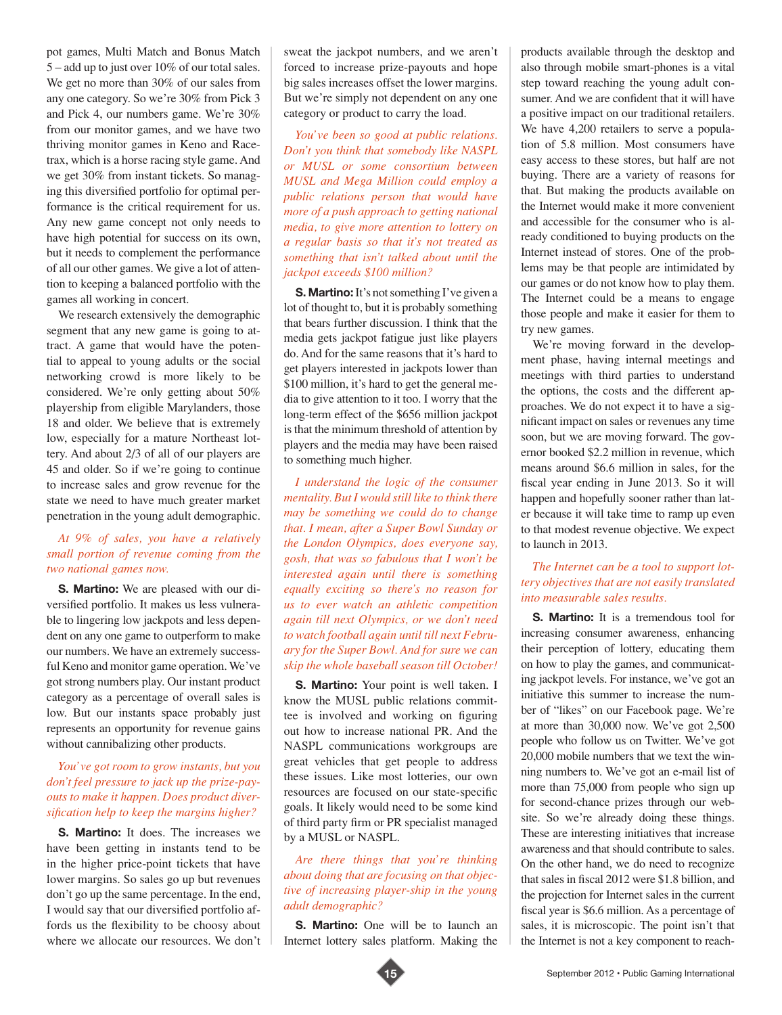pot games, Multi Match and Bonus Match 5 – add up to just over 10% of our total sales. We get no more than 30% of our sales from any one category. So we're 30% from Pick 3 and Pick 4, our numbers game. We're 30% from our monitor games, and we have two thriving monitor games in Keno and Racetrax, which is a horse racing style game. And we get 30% from instant tickets. So managing this diversified portfolio for optimal performance is the critical requirement for us. Any new game concept not only needs to have high potential for success on its own, but it needs to complement the performance of all our other games. We give a lot of attention to keeping a balanced portfolio with the games all working in concert.

We research extensively the demographic segment that any new game is going to attract. A game that would have the potential to appeal to young adults or the social networking crowd is more likely to be considered. We're only getting about 50% playership from eligible Marylanders, those 18 and older. We believe that is extremely low, especially for a mature Northeast lottery. And about 2/3 of all of our players are 45 and older. So if we're going to continue to increase sales and grow revenue for the state we need to have much greater market penetration in the young adult demographic.

#### *At 9% of sales, you have a relatively small portion of revenue coming from the two national games now.*

**S. Martino:** We are pleased with our diversified portfolio. It makes us less vulnerable to lingering low jackpots and less dependent on any one game to outperform to make our numbers. We have an extremely successful Keno and monitor game operation. We've got strong numbers play. Our instant product category as a percentage of overall sales is low. But our instants space probably just represents an opportunity for revenue gains without cannibalizing other products.

#### *You've got room to grow instants, but you don't feel pressure to jack up the prize-payouts to make it happen. Does product diversification help to keep the margins higher?*

**S. Martino:** It does. The increases we have been getting in instants tend to be in the higher price-point tickets that have lower margins. So sales go up but revenues don't go up the same percentage. In the end, I would say that our diversified portfolio affords us the flexibility to be choosy about where we allocate our resources. We don't

sweat the jackpot numbers, and we aren't forced to increase prize-payouts and hope big sales increases offset the lower margins. But we're simply not dependent on any one category or product to carry the load.

*You've been so good at public relations. Don't you think that somebody like NASPL or MUSL or some consortium between MUSL and Mega Million could employ a public relations person that would have more of a push approach to getting national media, to give more attention to lottery on a regular basis so that it's not treated as something that isn't talked about until the jackpot exceeds \$100 million?*

**S. Martino:** It's not something I've given a lot of thought to, but it is probably something that bears further discussion. I think that the media gets jackpot fatigue just like players do. And for the same reasons that it's hard to get players interested in jackpots lower than \$100 million, it's hard to get the general media to give attention to it too. I worry that the long-term effect of the \$656 million jackpot is that the minimum threshold of attention by players and the media may have been raised to something much higher.

*I understand the logic of the consumer mentality. But I would still like to think there may be something we could do to change that. I mean, after a Super Bowl Sunday or the London Olympics, does everyone say, gosh, that was so fabulous that I won't be interested again until there is something equally exciting so there's no reason for us to ever watch an athletic competition again till next Olympics, or we don't need to watch football again until till next February for the Super Bowl. And for sure we can skip the whole baseball season till October!* 

**S. Martino:** Your point is well taken. I know the MUSL public relations committee is involved and working on figuring out how to increase national PR. And the NASPL communications workgroups are great vehicles that get people to address these issues. Like most lotteries, our own resources are focused on our state-specific goals. It likely would need to be some kind of third party firm or PR specialist managed by a MUSL or NASPL.

*Are there things that you're thinking about doing that are focusing on that objective of increasing player-ship in the young adult demographic?*

**S. Martino:** One will be to launch an Internet lottery sales platform. Making the products available through the desktop and also through mobile smart-phones is a vital step toward reaching the young adult consumer. And we are confident that it will have a positive impact on our traditional retailers. We have 4,200 retailers to serve a population of 5.8 million. Most consumers have easy access to these stores, but half are not buying. There are a variety of reasons for that. But making the products available on the Internet would make it more convenient and accessible for the consumer who is already conditioned to buying products on the Internet instead of stores. One of the problems may be that people are intimidated by our games or do not know how to play them. The Internet could be a means to engage those people and make it easier for them to try new games.

We're moving forward in the development phase, having internal meetings and meetings with third parties to understand the options, the costs and the different approaches. We do not expect it to have a significant impact on sales or revenues any time soon, but we are moving forward. The governor booked \$2.2 million in revenue, which means around \$6.6 million in sales, for the fiscal year ending in June 2013. So it will happen and hopefully sooner rather than later because it will take time to ramp up even to that modest revenue objective. We expect to launch in 2013.

## *The Internet can be a tool to support lottery objectives that are not easily translated into measurable sales results.*

**S. Martino:** It is a tremendous tool for increasing consumer awareness, enhancing their perception of lottery, educating them on how to play the games, and communicating jackpot levels. For instance, we've got an initiative this summer to increase the number of "likes" on our Facebook page. We're at more than 30,000 now. We've got 2,500 people who follow us on Twitter. We've got 20,000 mobile numbers that we text the winning numbers to. We've got an e-mail list of more than 75,000 from people who sign up for second-chance prizes through our website. So we're already doing these things. These are interesting initiatives that increase awareness and that should contribute to sales. On the other hand, we do need to recognize that sales in fiscal 2012 were \$1.8 billion, and the projection for Internet sales in the current fiscal year is \$6.6 million. As a percentage of sales, it is microscopic. The point isn't that the Internet is not a key component to reach-